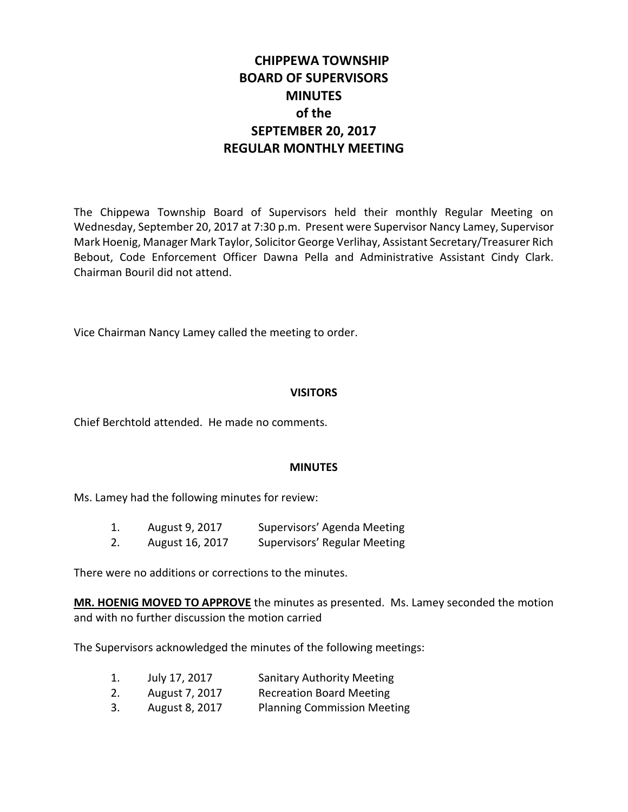# **CHIPPEWA TOWNSHIP BOARD OF SUPERVISORS MINUTES of the SEPTEMBER 20, 2017 REGULAR MONTHLY MEETING**

The Chippewa Township Board of Supervisors held their monthly Regular Meeting on Wednesday, September 20, 2017 at 7:30 p.m. Present were Supervisor Nancy Lamey, Supervisor Mark Hoenig, Manager Mark Taylor, Solicitor George Verlihay, Assistant Secretary/Treasurer Rich Bebout, Code Enforcement Officer Dawna Pella and Administrative Assistant Cindy Clark. Chairman Bouril did not attend.

Vice Chairman Nancy Lamey called the meeting to order.

#### **VISITORS**

Chief Berchtold attended. He made no comments.

#### **MINUTES**

Ms. Lamey had the following minutes for review:

- 1. August 9, 2017 Supervisors' Agenda Meeting
- 2. August 16, 2017 Supervisors' Regular Meeting

There were no additions or corrections to the minutes.

**MR. HOENIG MOVED TO APPROVE** the minutes as presented. Ms. Lamey seconded the motion and with no further discussion the motion carried

The Supervisors acknowledged the minutes of the following meetings:

- 1. July 17, 2017 Sanitary Authority Meeting
- 2. August 7, 2017 Recreation Board Meeting
- 3. August 8, 2017 Planning Commission Meeting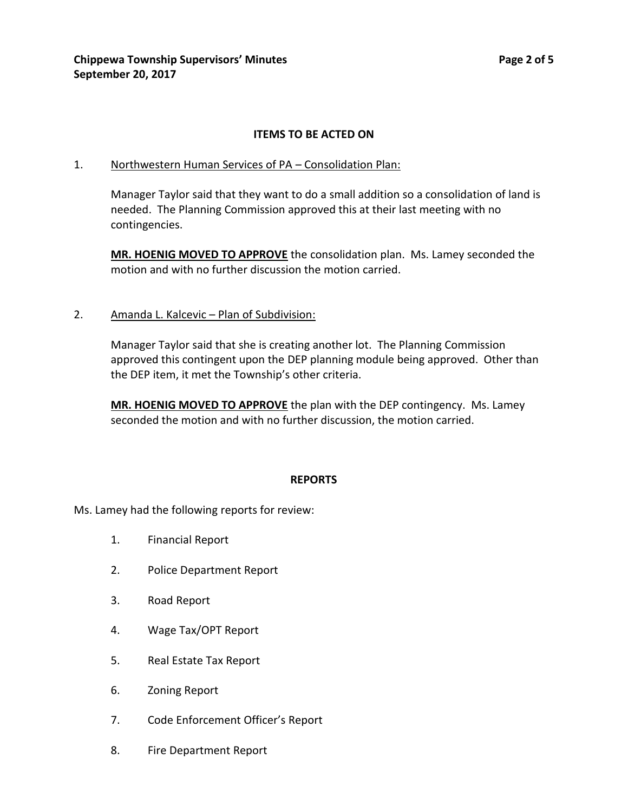## **ITEMS TO BE ACTED ON**

#### 1. Northwestern Human Services of PA – Consolidation Plan:

Manager Taylor said that they want to do a small addition so a consolidation of land is needed. The Planning Commission approved this at their last meeting with no contingencies.

**MR. HOENIG MOVED TO APPROVE** the consolidation plan. Ms. Lamey seconded the motion and with no further discussion the motion carried.

#### 2. Amanda L. Kalcevic - Plan of Subdivision:

Manager Taylor said that she is creating another lot. The Planning Commission approved this contingent upon the DEP planning module being approved. Other than the DEP item, it met the Township's other criteria.

**MR. HOENIG MOVED TO APPROVE** the plan with the DEP contingency. Ms. Lamey seconded the motion and with no further discussion, the motion carried.

#### **REPORTS**

Ms. Lamey had the following reports for review:

- 1. Financial Report
- 2. Police Department Report
- 3. Road Report
- 4. Wage Tax/OPT Report
- 5. Real Estate Tax Report
- 6. Zoning Report
- 7. Code Enforcement Officer's Report
- 8. Fire Department Report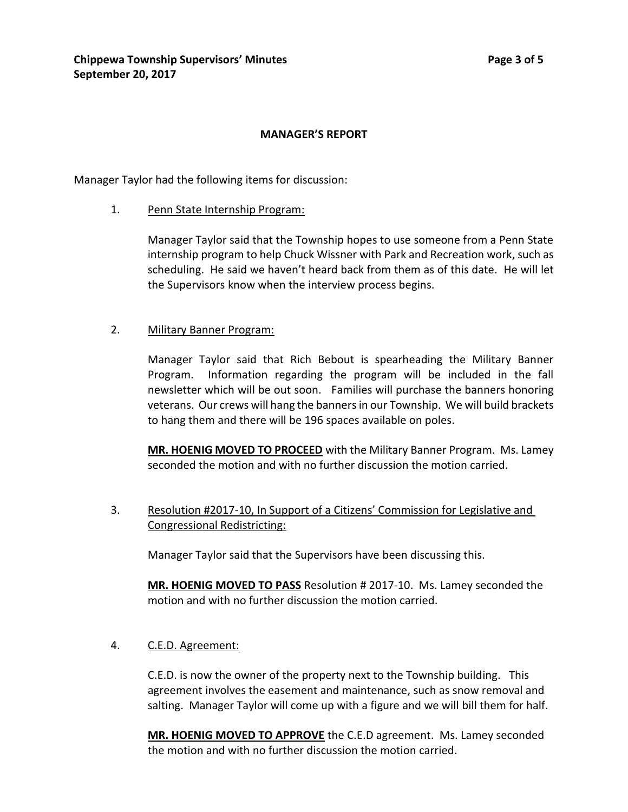## **MANAGER'S REPORT**

Manager Taylor had the following items for discussion:

1. Penn State Internship Program:

Manager Taylor said that the Township hopes to use someone from a Penn State internship program to help Chuck Wissner with Park and Recreation work, such as scheduling. He said we haven't heard back from them as of this date. He will let the Supervisors know when the interview process begins.

#### 2. Military Banner Program:

Manager Taylor said that Rich Bebout is spearheading the Military Banner Program. Information regarding the program will be included in the fall newsletter which will be out soon. Families will purchase the banners honoring veterans. Our crews will hang the banners in our Township. We will build brackets to hang them and there will be 196 spaces available on poles.

**MR. HOENIG MOVED TO PROCEED** with the Military Banner Program. Ms. Lamey seconded the motion and with no further discussion the motion carried.

3. Resolution #2017-10, In Support of a Citizens' Commission for Legislative and Congressional Redistricting:

Manager Taylor said that the Supervisors have been discussing this.

**MR. HOENIG MOVED TO PASS** Resolution # 2017-10. Ms. Lamey seconded the motion and with no further discussion the motion carried.

4. C.E.D. Agreement:

C.E.D. is now the owner of the property next to the Township building. This agreement involves the easement and maintenance, such as snow removal and salting. Manager Taylor will come up with a figure and we will bill them for half.

**MR. HOENIG MOVED TO APPROVE** the C.E.D agreement. Ms. Lamey seconded the motion and with no further discussion the motion carried.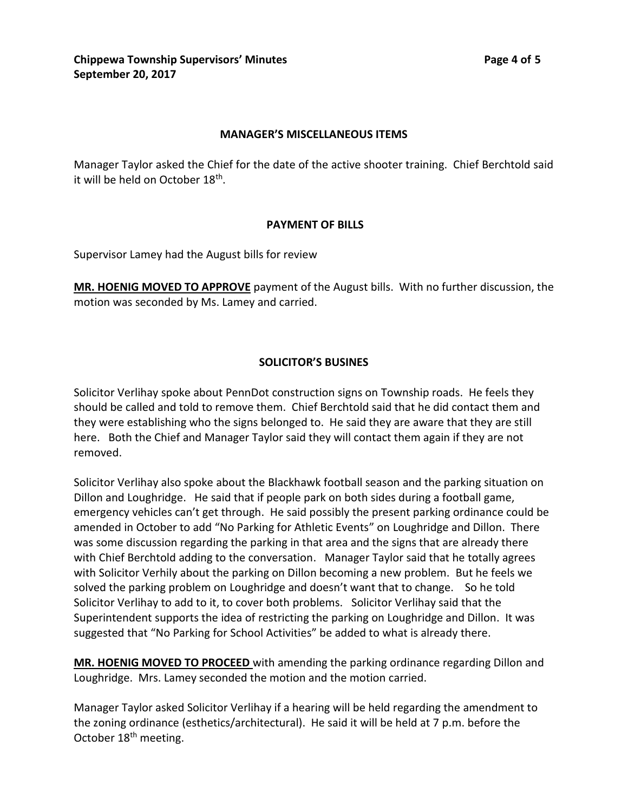### **MANAGER'S MISCELLANEOUS ITEMS**

Manager Taylor asked the Chief for the date of the active shooter training. Chief Berchtold said it will be held on October 18<sup>th</sup>.

### **PAYMENT OF BILLS**

Supervisor Lamey had the August bills for review

**MR. HOENIG MOVED TO APPROVE** payment of the August bills. With no further discussion, the motion was seconded by Ms. Lamey and carried.

## **SOLICITOR'S BUSINES**

Solicitor Verlihay spoke about PennDot construction signs on Township roads. He feels they should be called and told to remove them. Chief Berchtold said that he did contact them and they were establishing who the signs belonged to. He said they are aware that they are still here. Both the Chief and Manager Taylor said they will contact them again if they are not removed.

Solicitor Verlihay also spoke about the Blackhawk football season and the parking situation on Dillon and Loughridge. He said that if people park on both sides during a football game, emergency vehicles can't get through. He said possibly the present parking ordinance could be amended in October to add "No Parking for Athletic Events" on Loughridge and Dillon. There was some discussion regarding the parking in that area and the signs that are already there with Chief Berchtold adding to the conversation. Manager Taylor said that he totally agrees with Solicitor Verhily about the parking on Dillon becoming a new problem. But he feels we solved the parking problem on Loughridge and doesn't want that to change. So he told Solicitor Verlihay to add to it, to cover both problems. Solicitor Verlihay said that the Superintendent supports the idea of restricting the parking on Loughridge and Dillon. It was suggested that "No Parking for School Activities" be added to what is already there.

**MR. HOENIG MOVED TO PROCEED** with amending the parking ordinance regarding Dillon and Loughridge. Mrs. Lamey seconded the motion and the motion carried.

Manager Taylor asked Solicitor Verlihay if a hearing will be held regarding the amendment to the zoning ordinance (esthetics/architectural). He said it will be held at 7 p.m. before the October 18<sup>th</sup> meeting.